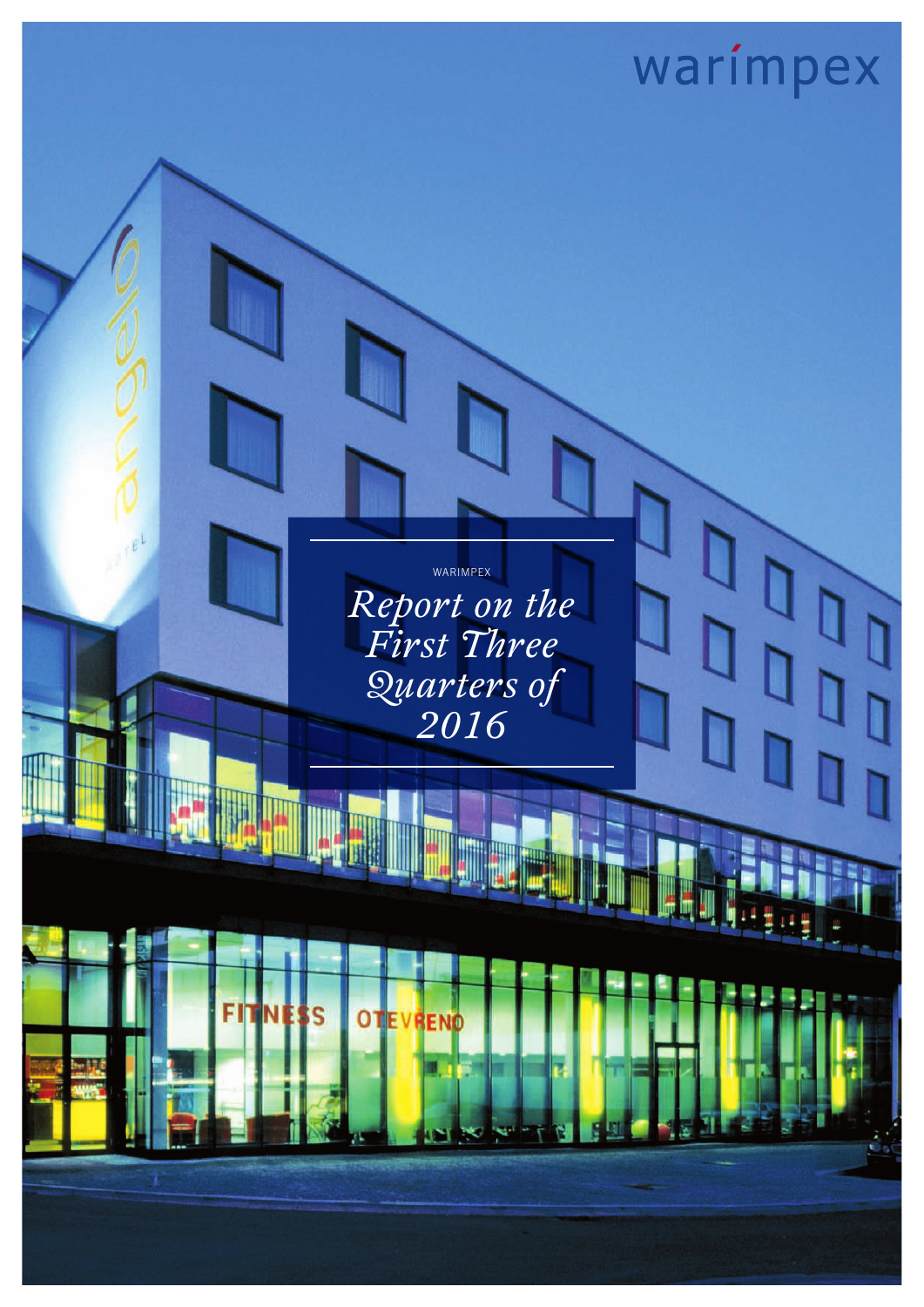

WARIMPEX

*Report on the First Three Quarters of 2016*

ς

OTEVRENO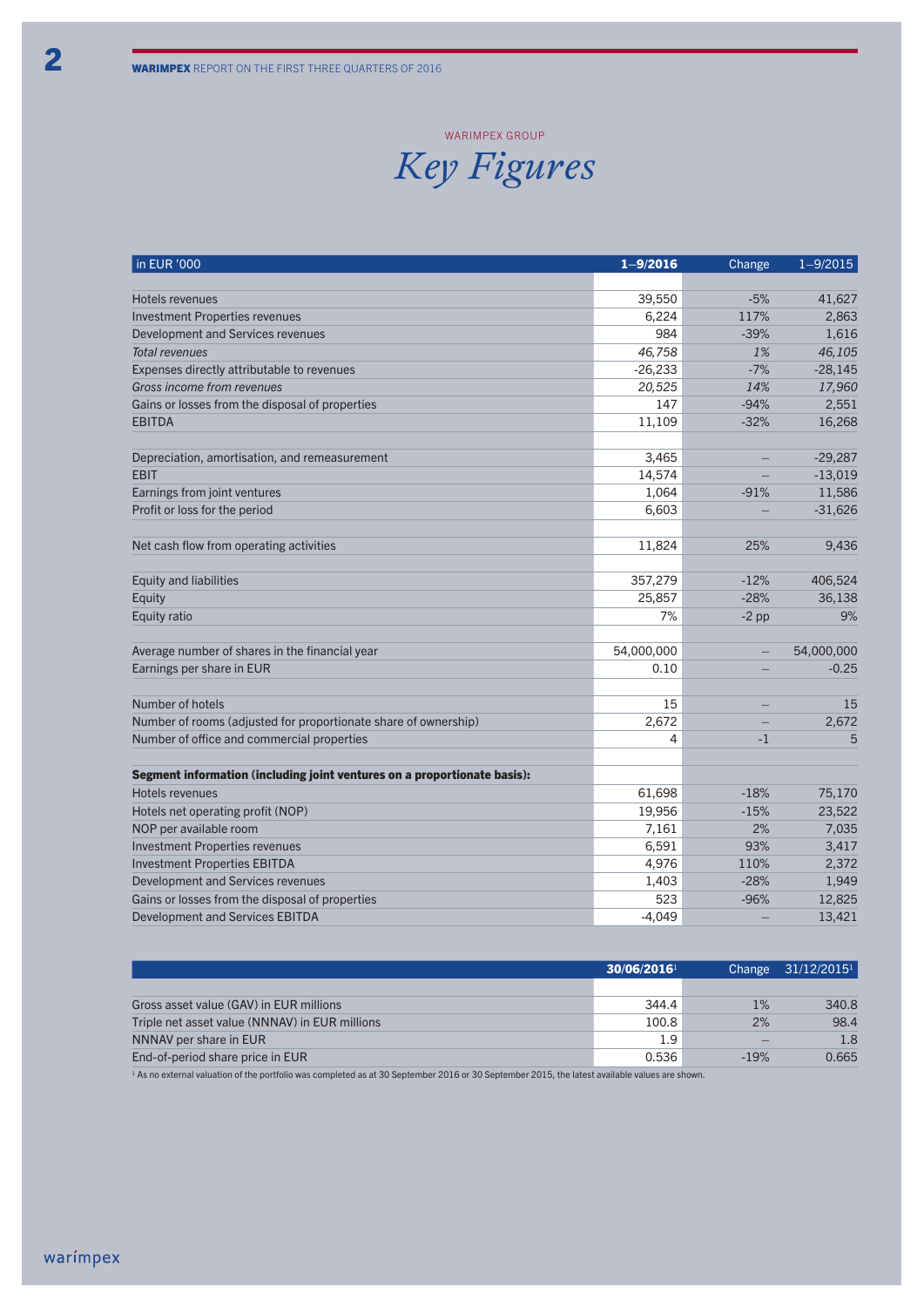#### WARIMPEX GROU

### *Key Figures*

| in EUR '000                                                              | $1 - 9/2016$ | Change                   | $1 - 9/2015$ |
|--------------------------------------------------------------------------|--------------|--------------------------|--------------|
|                                                                          |              |                          |              |
| Hotels revenues                                                          | 39,550       | $-5%$                    | 41,627       |
| <b>Investment Properties revenues</b>                                    | 6,224        | 117%                     | 2,863        |
| Development and Services revenues                                        | 984          | $-39%$                   | 1,616        |
| <b>Total revenues</b>                                                    | 46,758       | 1%                       | 46,105       |
| Expenses directly attributable to revenues                               | $-26,233$    | $-7%$                    | $-28,145$    |
| Gross income from revenues                                               | 20,525       | 14%                      | 17,960       |
| Gains or losses from the disposal of properties                          | 147          | $-94%$                   | 2,551        |
| <b>EBITDA</b>                                                            | 11,109       | $-32%$                   | 16,268       |
|                                                                          |              |                          |              |
| Depreciation, amortisation, and remeasurement                            | 3,465        |                          | $-29,287$    |
| <b>EBIT</b>                                                              | 14,574       | $\equiv$                 | $-13,019$    |
| Earnings from joint ventures                                             | 1,064        | $-91%$                   | 11,586       |
| Profit or loss for the period                                            | 6,603        |                          | $-31,626$    |
|                                                                          |              |                          |              |
| Net cash flow from operating activities                                  | 11,824       | 25%                      | 9,436        |
|                                                                          |              |                          |              |
| <b>Equity and liabilities</b>                                            | 357,279      | $-12%$                   | 406,524      |
| Equity                                                                   | 25,857       | $-28%$                   | 36,138       |
| Equity ratio                                                             | 7%           | $-2$ pp                  | 9%           |
|                                                                          |              |                          |              |
| Average number of shares in the financial year                           | 54,000,000   | $\overline{\phantom{0}}$ | 54,000,000   |
| Earnings per share in EUR                                                | 0.10         |                          | $-0.25$      |
|                                                                          |              |                          |              |
| Number of hotels                                                         | 15           | $\qquad \qquad -$        | 15           |
| Number of rooms (adjusted for proportionate share of ownership)          | 2,672        |                          | 2,672        |
| Number of office and commercial properties                               | 4            | $-1$                     | 5            |
|                                                                          |              |                          |              |
| Segment information (including joint ventures on a proportionate basis): |              |                          |              |
| Hotels revenues                                                          | 61,698       | $-18%$                   | 75,170       |
| Hotels net operating profit (NOP)                                        | 19,956       | $-15%$                   | 23,522       |
| NOP per available room                                                   | 7,161        | 2%                       | 7,035        |
| <b>Investment Properties revenues</b>                                    | 6,591        | 93%                      | 3,417        |
| <b>Investment Properties EBITDA</b>                                      | 4,976        | 110%                     | 2,372        |
| Development and Services revenues                                        | 1,403        | $-28%$                   | 1,949        |
| Gains or losses from the disposal of properties                          | 523          | $-96%$                   | 12,825       |
| <b>Development and Services EBITDA</b>                                   | $-4,049$     |                          | 13,421       |

|                                                | 30/06/2016 |        | Change $31/12/2015^1$ |
|------------------------------------------------|------------|--------|-----------------------|
|                                                |            |        |                       |
| Gross asset value (GAV) in EUR millions        | 344.4      | 1%     | 340.8                 |
| Triple net asset value (NNNAV) in EUR millions | 100.8      | 2%     | 98.4                  |
| NNNAV per share in EUR                         | 1.9        |        | 1.8                   |
| End-of-period share price in EUR               | 0.536      | $-19%$ | 0.665                 |

 $^{-1}$  As no external valuation of the portfolio was completed as at 30 September 2016 or 30 September 2015, the latest available values are shown.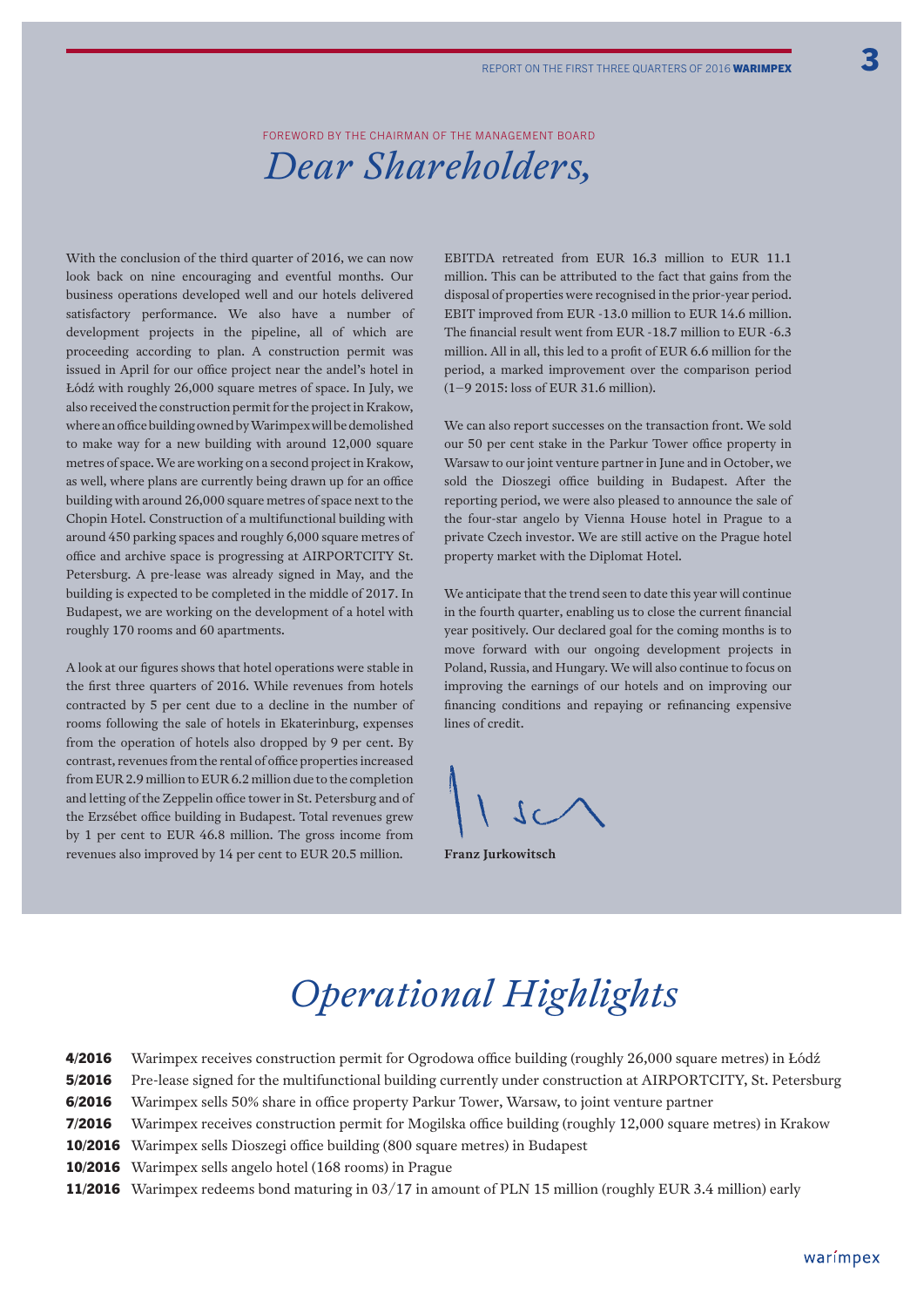Foreword by the Chairman of the Management Board

### *Dear Shareholders,*

With the conclusion of the third quarter of 2016, we can now look back on nine encouraging and eventful months. Our business operations developed well and our hotels delivered satisfactory performance. We also have a number of development projects in the pipeline, all of which are proceeding according to plan. A construction permit was issued in April for our office project near the andel's hotel in Łódź with roughly 26,000 square metres of space. In July, we also received the construction permit for the project in Krakow, where an office building owned by Warimpex will be demolished to make way for a new building with around 12,000 square metres of space. We are working on a second project in Krakow, as well, where plans are currently being drawn up for an office building with around 26,000 square metres of space next to the Chopin Hotel. Construction of a multifunctional building with around 450 parking spaces and roughly 6,000 square metres of office and archive space is progressing at AIRPORTCITY St. Petersburg. A pre-lease was already signed in May, and the building is expected to be completed in the middle of 2017. In Budapest, we are working on the development of a hotel with roughly 170 rooms and 60 apartments.

A look at our figures shows that hotel operations were stable in the first three quarters of 2016. While revenues from hotels contracted by 5 per cent due to a decline in the number of rooms following the sale of hotels in Ekaterinburg, expenses from the operation of hotels also dropped by 9 per cent. By contrast, revenues from the rental of office properties increased from EUR 2.9 million to EUR 6.2 million due to the completion and letting of the Zeppelin office tower in St. Petersburg and of the Erzsébet office building in Budapest. Total revenues grew by 1 per cent to EUR 46.8 million. The gross income from revenues also improved by 14 per cent to EUR 20.5 million.

EBITDA retreated from EUR 16.3 million to EUR 11.1 million. This can be attributed to the fact that gains from the disposal of properties were recognised in the prior-year period. EBIT improved from EUR -13.0 million to EUR 14.6 million. The financial result went from EUR -18.7 million to EUR -6.3 million. All in all, this led to a profit of EUR 6.6 million for the period, a marked improvement over the comparison period (1–9 2015: loss of EUR 31.6 million).

We can also report successes on the transaction front. We sold our 50 per cent stake in the Parkur Tower office property in Warsaw to our joint venture partner in June and in October, we sold the Dioszegi office building in Budapest. After the reporting period, we were also pleased to announce the sale of the four-star angelo by Vienna House hotel in Prague to a private Czech investor. We are still active on the Prague hotel property market with the Diplomat Hotel.

We anticipate that the trend seen to date this year will continue in the fourth quarter, enabling us to close the current financial year positively. Our declared goal for the coming months is to move forward with our ongoing development projects in Poland, Russia, and Hungary. We will also continue to focus on improving the earnings of our hotels and on improving our financing conditions and repaying or refinancing expensive lines of credit.

**Franz Jurkowitsch**

# *Operational Highlights*

| 4/2016 | Warimpex receives construction permit for Ogrodowa office building (roughly 26,000 square metres) in Łódź     |
|--------|---------------------------------------------------------------------------------------------------------------|
| 5/2016 | Pre-lease signed for the multifunctional building currently under construction at AIRPORTCITY, St. Petersburg |
| 6/2016 | Warimpex sells 50% share in office property Parkur Tower, Warsaw, to joint venture partner                    |
| 7/2016 | Warimpex receives construction permit for Mogilska office building (roughly 12,000 square metres) in Krakow   |
|        | <b>10/2016</b> Warimpex sells Dioszegi office building (800 square metres) in Budapest                        |
|        | 10/2016 Warimpex sells angelo hotel (168 rooms) in Prague                                                     |
|        | 11/2016 Warimpex redeems bond maturing in 03/17 in amount of PLN 15 million (roughly EUR 3.4 million) early   |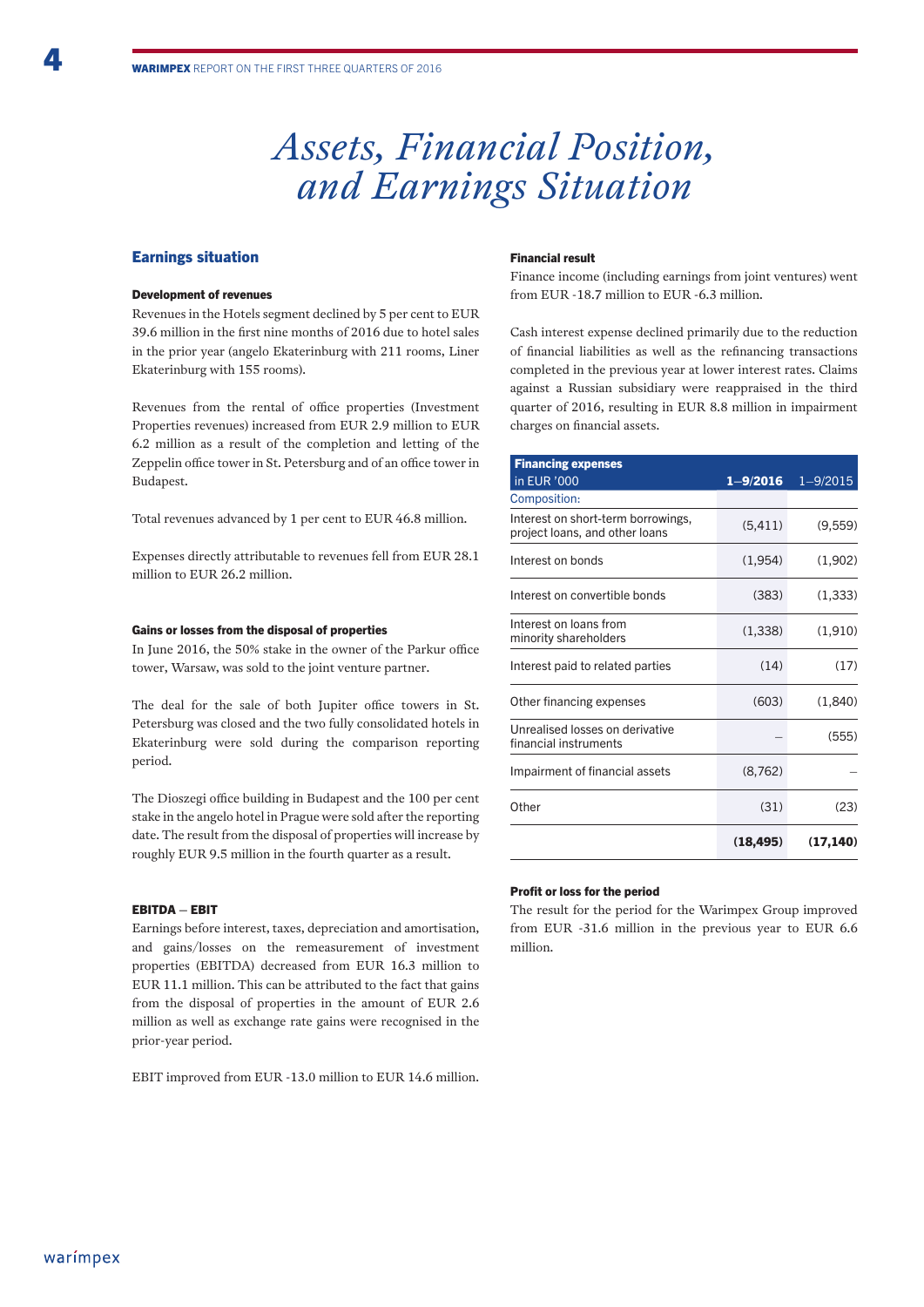### *Assets, Financial Position, and Earnings Situation*

#### Earnings situation

#### Development of revenues

Revenues in the Hotels segment declined by 5 per cent to EUR 39.6 million in the first nine months of 2016 due to hotel sales in the prior year (angelo Ekaterinburg with 211 rooms, Liner Ekaterinburg with 155 rooms).

Revenues from the rental of office properties (Investment Properties revenues) increased from EUR 2.9 million to EUR 6.2 million as a result of the completion and letting of the Zeppelin office tower in St. Petersburg and of an office tower in Budapest.

Total revenues advanced by 1 per cent to EUR 46.8 million.

Expenses directly attributable to revenues fell from EUR 28.1 million to EUR 26.2 million.

#### Gains or losses from the disposal of properties

In June 2016, the 50% stake in the owner of the Parkur office tower, Warsaw, was sold to the joint venture partner.

The deal for the sale of both Jupiter office towers in St. Petersburg was closed and the two fully consolidated hotels in Ekaterinburg were sold during the comparison reporting period.

The Dioszegi office building in Budapest and the 100 per cent stake in the angelo hotel in Prague were sold after the reporting date. The result from the disposal of properties will increase by roughly EUR 9.5 million in the fourth quarter as a result.

#### EBITDA – EBIT

Earnings before interest, taxes, depreciation and amortisation, and gains/losses on the remeasurement of investment properties (EBITDA) decreased from EUR 16.3 million to EUR 11.1 million. This can be attributed to the fact that gains from the disposal of properties in the amount of EUR 2.6 million as well as exchange rate gains were recognised in the prior-year period.

EBIT improved from EUR -13.0 million to EUR 14.6 million.

#### Financial result

Finance income (including earnings from joint ventures) went from EUR -18.7 million to EUR -6.3 million.

Cash interest expense declined primarily due to the reduction of financial liabilities as well as the refinancing transactions completed in the previous year at lower interest rates. Claims against a Russian subsidiary were reappraised in the third quarter of 2016, resulting in EUR 8.8 million in impairment charges on financial assets.

| <b>Financing expenses</b>                                            |              |              |
|----------------------------------------------------------------------|--------------|--------------|
| in EUR '000                                                          | $1 - 9/2016$ | $1 - 9/2015$ |
| Composition:                                                         |              |              |
| Interest on short-term borrowings,<br>project loans, and other loans | (5, 411)     | (9,559)      |
| Interest on bonds                                                    | (1,954)      | (1,902)      |
| Interest on convertible bonds                                        | (383)        | (1, 333)     |
| Interest on loans from<br>minority shareholders                      | (1, 338)     | (1, 910)     |
| Interest paid to related parties                                     | (14)         | (17)         |
| Other financing expenses                                             | (603)        | (1,840)      |
| Unrealised losses on derivative<br>financial instruments             |              | (555)        |
| Impairment of financial assets                                       | (8, 762)     |              |
| Other                                                                | (31)         | (23)         |
|                                                                      | (18, 495)    | (17, 140)    |

#### Profit or loss for the period

The result for the period for the Warimpex Group improved from EUR -31.6 million in the previous year to EUR 6.6 million.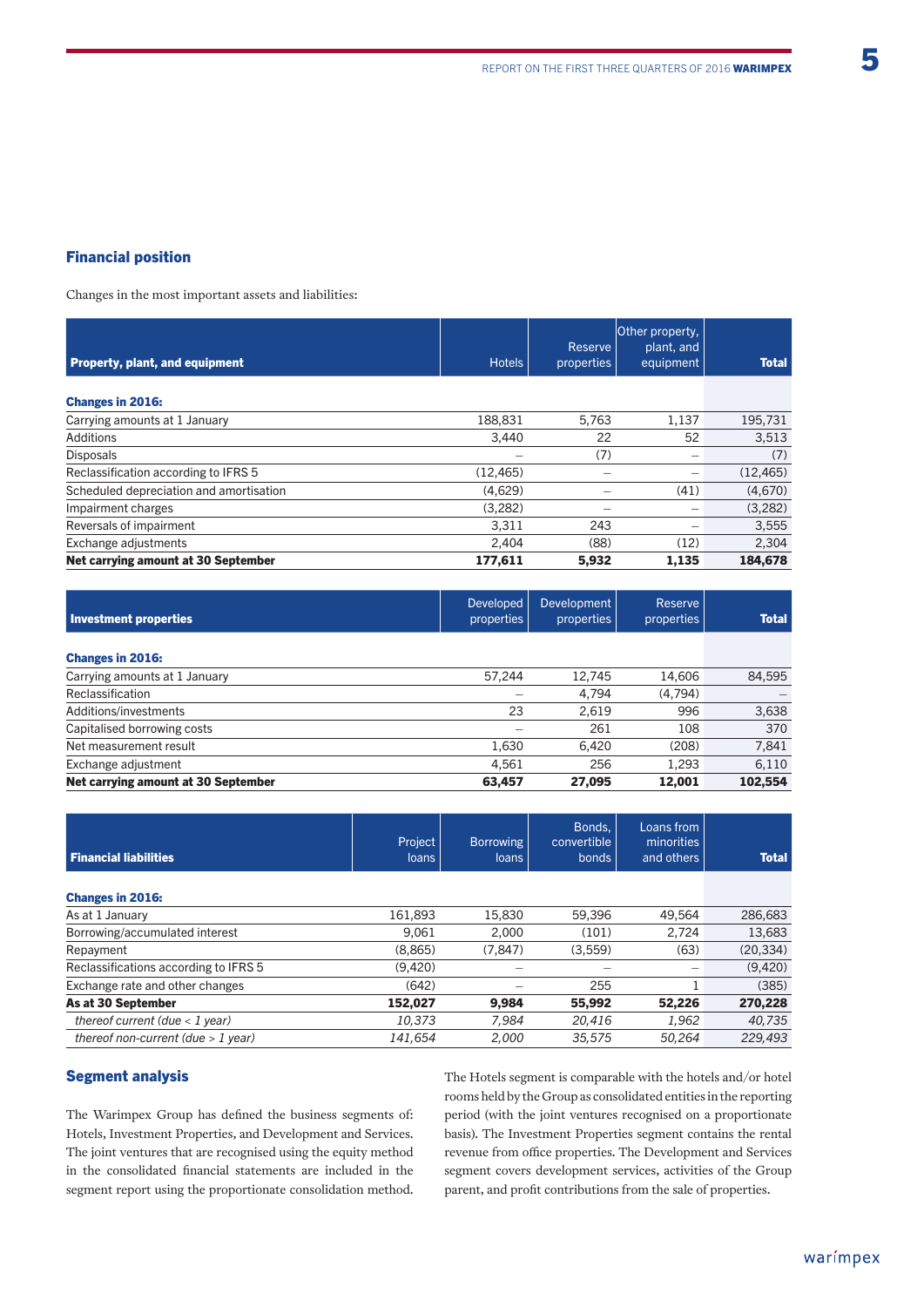#### Financial position

Changes in the most important assets and liabilities:

| <b>Property, plant, and equipment</b>   | <b>Hotels</b> | Reserve<br>properties | Other property,<br>plant, and<br>equipment | <b>Total</b> |
|-----------------------------------------|---------------|-----------------------|--------------------------------------------|--------------|
| <b>Changes in 2016:</b>                 |               |                       |                                            |              |
| Carrying amounts at 1 January           | 188,831       | 5.763                 | 1.137                                      | 195,731      |
| Additions                               | 3.440         | 22                    | 52                                         | 3,513        |
| <b>Disposals</b>                        |               | (7)                   |                                            | (7)          |
| Reclassification according to IFRS 5    | (12, 465)     | -                     | $\overline{\phantom{0}}$                   | (12, 465)    |
| Scheduled depreciation and amortisation | (4,629)       |                       | (41)                                       | (4,670)      |
| Impairment charges                      | (3,282)       |                       |                                            | (3,282)      |
| Reversals of impairment                 | 3,311         | 243                   |                                            | 3,555        |
| Exchange adjustments                    | 2,404         | (88)                  | (12)                                       | 2,304        |
| Net carrying amount at 30 September     | 177,611       | 5,932                 | 1,135                                      | 184,678      |

| Investment properties               | <b>Developed</b><br>properties | Development<br>properties | Reserve<br>properties | <b>Total</b> |
|-------------------------------------|--------------------------------|---------------------------|-----------------------|--------------|
| <b>Changes in 2016:</b>             |                                |                           |                       |              |
| Carrying amounts at 1 January       | 57.244                         | 12.745                    | 14,606                | 84,595       |
| Reclassification                    |                                | 4.794                     | (4,794)               |              |
| Additions/investments               | 23                             | 2.619                     | 996                   | 3,638        |
| Capitalised borrowing costs         |                                | 261                       | 108                   | 370          |
| Net measurement result              | 1,630                          | 6.420                     | (208)                 | 7,841        |
| Exchange adjustment                 | 4.561                          | 256                       | 1.293                 | 6,110        |
| Net carrying amount at 30 September | 63.457                         | 27.095                    | 12.001                | 102,554      |

| <b>Financial liabilities</b>          | Project<br><b>loans</b> | <b>Borrowing</b><br>loans | Bonds.<br>convertible<br>bonds | Loans from<br>minorities<br>and others | <b>Total</b> |
|---------------------------------------|-------------------------|---------------------------|--------------------------------|----------------------------------------|--------------|
| <b>Changes in 2016:</b>               |                         |                           |                                |                                        |              |
| As at 1 January                       | 161,893                 | 15,830                    | 59,396                         | 49.564                                 | 286,683      |
| Borrowing/accumulated interest        | 9.061                   | 2.000                     | (101)                          | 2.724                                  | 13,683       |
| Repayment                             | (8,865)                 | (7.847)                   | (3,559)                        | (63)                                   | (20, 334)    |
| Reclassifications according to IFRS 5 | (9.420)                 |                           |                                |                                        | (9,420)      |
| Exchange rate and other changes       | (642)                   |                           | 255                            |                                        | (385)        |
| As at 30 September                    | 152.027                 | 9.984                     | 55,992                         | 52.226                                 | 270,228      |
| thereof current (due $<$ 1 year)      | 10,373                  | 7.984                     | 20,416                         | 1,962                                  | 40,735       |
| thereof non-current (due $> 1$ year)  | 141.654                 | 2.000                     | 35,575                         | 50.264                                 | 229,493      |

#### Segment analysis

The Warimpex Group has defined the business segments of: Hotels, Investment Properties, and Development and Services. The joint ventures that are recognised using the equity method in the consolidated financial statements are included in the segment report using the proportionate consolidation method.

The Hotels segment is comparable with the hotels and/or hotel rooms held by the Group as consolidated entities in the reporting period (with the joint ventures recognised on a proportionate basis). The Investment Properties segment contains the rental revenue from office properties. The Development and Services segment covers development services, activities of the Group parent, and profit contributions from the sale of properties.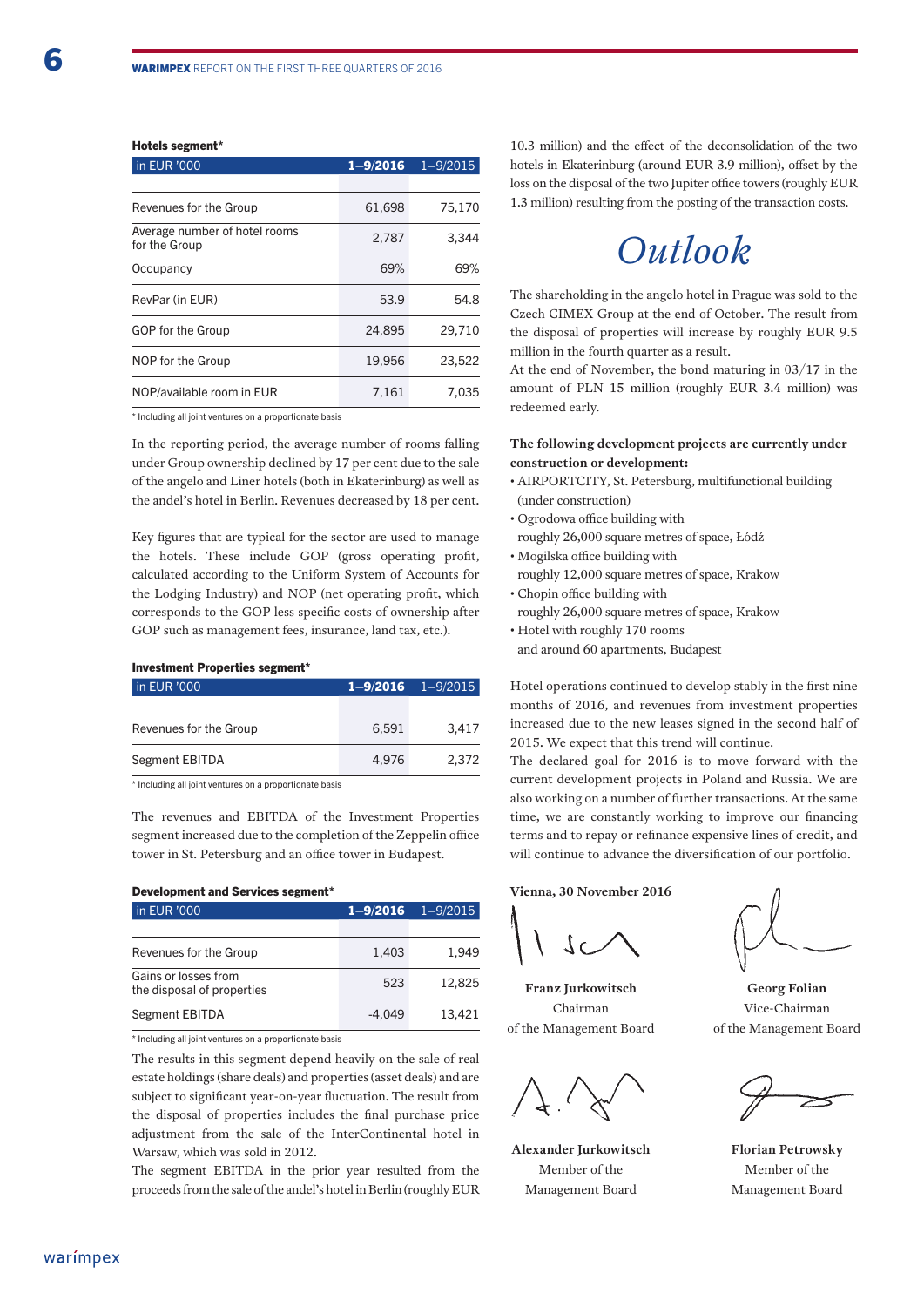#### Hotels segment\*

| in EUR '000                                    | $1 - 9/2016$ | $1 - 9/2015$ |  |
|------------------------------------------------|--------------|--------------|--|
|                                                |              |              |  |
| Revenues for the Group                         | 61,698       | 75,170       |  |
| Average number of hotel rooms<br>for the Group | 2,787        | 3,344        |  |
| Occupancy                                      | 69%          | 69%          |  |
| RevPar (in EUR)                                | 53.9         | 54.8         |  |
| GOP for the Group                              | 24,895       | 29,710       |  |
| NOP for the Group                              | 19,956       | 23.522       |  |
| NOP/available room in EUR                      | 7.161        | 7.035        |  |

\* Including all joint ventures on a proportionate basis

In the reporting period, the average number of rooms falling under Group ownership declined by 17 per cent due to the sale of the angelo and Liner hotels (both in Ekaterinburg) as well as the andel's hotel in Berlin. Revenues decreased by 18 per cent.

Key figures that are typical for the sector are used to manage the hotels. These include GOP (gross operating profit, calculated according to the Uniform System of Accounts for the Lodging Industry) and NOP (net operating profit, which corresponds to the GOP less specific costs of ownership after GOP such as management fees, insurance, land tax, etc.).

#### Investment Properties segment\*

| in EUR '000            |       | $1 - 9/2016$ $1 - 9/2015$ |
|------------------------|-------|---------------------------|
|                        |       |                           |
| Revenues for the Group | 6.591 | 3.417                     |
| Segment EBITDA         | 4.976 | 2.372                     |

\* Including all joint ventures on a proportionate basis

The revenues and EBITDA of the Investment Properties segment increased due to the completion of the Zeppelin office tower in St. Petersburg and an office tower in Budapest.

#### Development and Services segment\*

| in EUR '000                                        | $1 - 9/2016$ | $1 - 9/2015$ |
|----------------------------------------------------|--------------|--------------|
|                                                    |              |              |
| Revenues for the Group                             | 1,403        | 1.949        |
| Gains or losses from<br>the disposal of properties | 523          | 12.825       |
| Segment EBITDA                                     | $-4.049$     | 13.421       |

\* Including all joint ventures on a proportionate basis

The results in this segment depend heavily on the sale of real estate holdings (share deals) and properties (asset deals) and are subject to significant year-on-year fluctuation. The result from the disposal of properties includes the final purchase price adjustment from the sale of the InterContinental hotel in Warsaw, which was sold in 2012.

The segment EBITDA in the prior year resulted from the proceeds from the sale of the andel's hotel in Berlin (roughly EUR 10.3 million) and the effect of the deconsolidation of the two hotels in Ekaterinburg (around EUR 3.9 million), offset by the loss on the disposal of the two Jupiter office towers (roughly EUR 1.3 million) resulting from the posting of the transaction costs.

### *Outlook*

The shareholding in the angelo hotel in Prague was sold to the Czech CIMEX Group at the end of October. The result from the disposal of properties will increase by roughly EUR 9.5 million in the fourth quarter as a result.

At the end of November, the bond maturing in 03/17 in the amount of PLN 15 million (roughly EUR 3.4 million) was redeemed early.

#### **The following development projects are currently under construction or development:**

- AIRPORTCITY, St. Petersburg, multifunctional building (under construction)
- Ogrodowa office building with
- roughly 26,000 square metres of space, Łódź
- Mogilska office building with
- roughly 12,000 square metres of space, Krakow
- Chopin office building with
- roughly 26,000 square metres of space, Krakow
- Hotel with roughly 170 rooms and around 60 apartments, Budapest

Hotel operations continued to develop stably in the first nine months of 2016, and revenues from investment properties increased due to the new leases signed in the second half of 2015. We expect that this trend will continue.

The declared goal for 2016 is to move forward with the current development projects in Poland and Russia. We are also working on a number of further transactions. At the same time, we are constantly working to improve our financing terms and to repay or refinance expensive lines of credit, and will continue to advance the diversification of our portfolio.

**Vienna, 30 November 2016**

**Franz Jurkowitsch** Chairman of the Management Board

**Alexander Jurkowitsch** Member of the Management Board

**Georg Folian** Vice-Chairman of the Management Board

**Florian Petrowsky** Member of the Management Board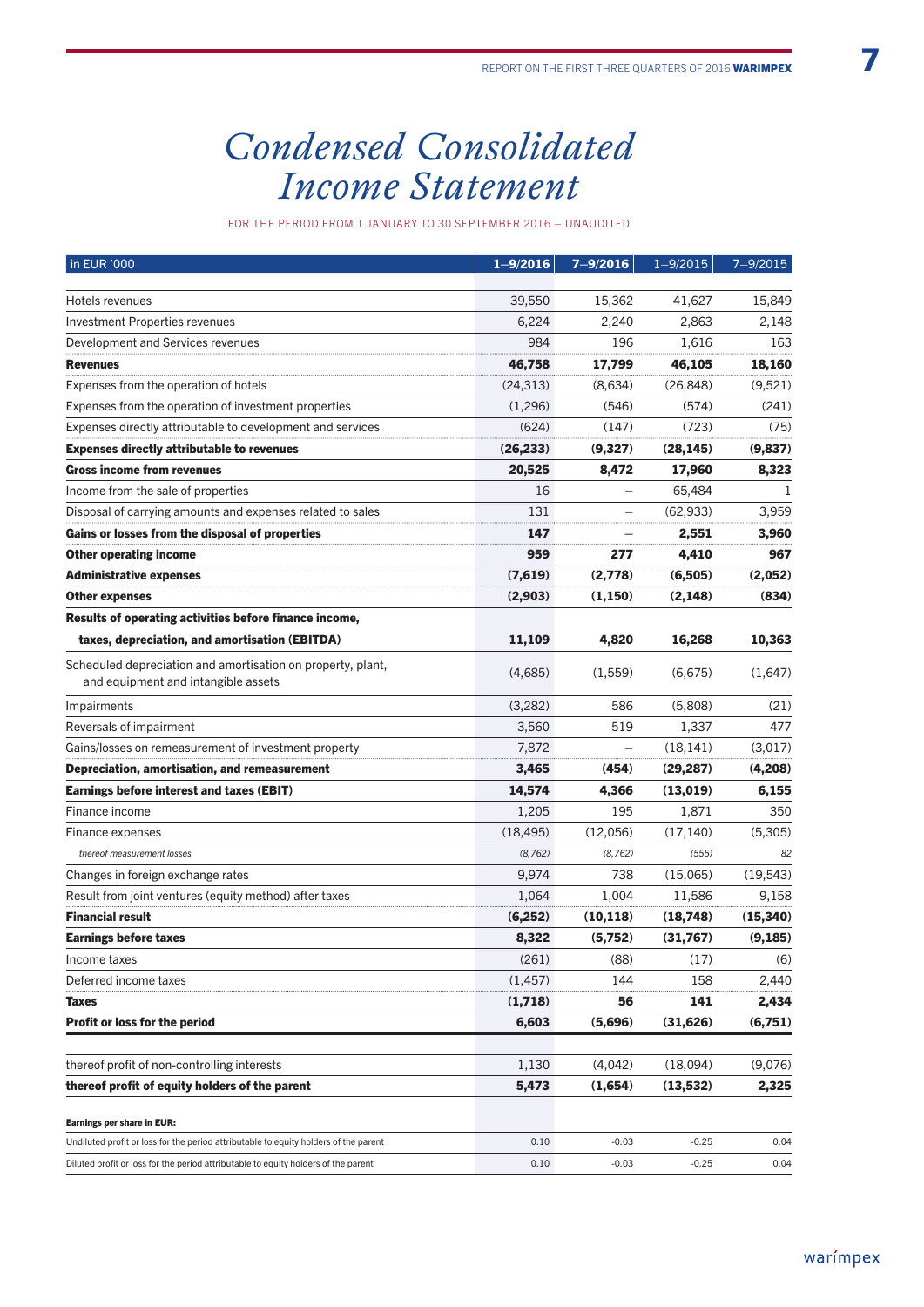# *Condensed Consolidated Income Statement*

for the period from 1 January to 30 September 2016 – unaudited

| 39,550<br>15,362<br>41,627<br>15,849<br>Hotels revenues<br><b>Investment Properties revenues</b><br>6,224<br>2,240<br>2,863<br>2,148<br>163<br>Development and Services revenues<br>984<br>196<br>1,616<br>46,758<br>17,799<br>46,105<br>18,160<br><b>Revenues</b><br>(24, 313)<br>(9,521)<br>Expenses from the operation of hotels<br>(8,634)<br>(26, 848)<br>Expenses from the operation of investment properties<br>(1,296)<br>(546)<br>(574)<br>(241)<br>Expenses directly attributable to development and services<br>(624)<br>(723)<br>(75)<br>(147)<br><b>Expenses directly attributable to revenues</b><br>(26, 233)<br>(9,327)<br>(28, 145)<br>(9,837)<br><b>Gross income from revenues</b><br>20,525<br>8,472<br>17,960<br>8,323<br>Income from the sale of properties<br>16<br>65,484<br>131<br>3,959<br>Disposal of carrying amounts and expenses related to sales<br>(62, 933)<br>Gains or losses from the disposal of properties<br>147<br>2,551<br>3,960<br>959<br><b>Other operating income</b><br>277<br>4,410<br>967<br><b>Administrative expenses</b><br>(7,619)<br>(2,778)<br>(6,505)<br>(2,052)<br><b>Other expenses</b><br>(2,903)<br>(1, 150)<br>(2, 148)<br>(834)<br>Results of operating activities before finance income,<br>taxes, depreciation, and amortisation (EBITDA)<br>4,820<br>16,268<br>11,109<br>10,363<br>Scheduled depreciation and amortisation on property, plant,<br>(6,675)<br>(1,647)<br>(4,685)<br>(1,559)<br>and equipment and intangible assets<br>(3,282)<br>586<br>(5,808)<br>(21)<br>Impairments<br>Reversals of impairment<br>3,560<br>519<br>1,337<br>477<br>7,872<br>(18, 141)<br>(3,017)<br>Gains/losses on remeasurement of investment property<br>Ĭ.<br>Depreciation, amortisation, and remeasurement<br>3,465<br>(29, 287)<br>(4,208)<br>(454)<br><b>Earnings before interest and taxes (EBIT)</b><br>14,574<br>(13, 019)<br>6,155<br>4,366<br>1,205<br>195<br>1,871<br>350<br>Finance income<br>(5,305)<br>(18, 495)<br>(12,056)<br>(17, 140)<br>Finance expenses<br>(8, 762)<br>(555)<br>thereof measurement losses<br>(8, 762)<br>82<br>738<br>9,974<br>(15,065)<br>(19, 543)<br>Changes in foreign exchange rates<br>Result from joint ventures (equity method) after taxes<br>1,004<br>11,586<br>9,158<br>1,064<br><b>Financial result</b><br>(6, 252)<br>(10, 118)<br>(18,748)<br>(15, 340)<br>(9, 185)<br><b>Earnings before taxes</b><br>8,322<br>(5,752)<br>(31,767)<br>(261)<br>(88)<br>(17)<br>(6)<br>Income taxes<br>(1, 457)<br>158<br>2,440<br>Deferred income taxes<br>144<br>2,434<br>(1,718)<br>56<br>141<br>Taxes<br><b>Profit or loss for the period</b><br>6,603<br>(5,696)<br>(31, 626)<br>(6,751)<br>thereof profit of non-controlling interests<br>1,130<br>(4,042)<br>(18,094)<br>(9,076)<br>thereof profit of equity holders of the parent<br>5,473<br>(1,654)<br>(13, 532)<br>2,325<br>Earnings per share in EUR:<br>$-0.03$<br>$-0.25$<br>Undiluted profit or loss for the period attributable to equity holders of the parent<br>0.10<br>0.04<br>0.10<br>$-0.03$<br>$-0.25$<br>0.04<br>Diluted profit or loss for the period attributable to equity holders of the parent | in EUR '000 | $1 - 9/2016$ | $7 - 9/2016$ | $1 - 9/2015$ | 7-9/2015 |
|----------------------------------------------------------------------------------------------------------------------------------------------------------------------------------------------------------------------------------------------------------------------------------------------------------------------------------------------------------------------------------------------------------------------------------------------------------------------------------------------------------------------------------------------------------------------------------------------------------------------------------------------------------------------------------------------------------------------------------------------------------------------------------------------------------------------------------------------------------------------------------------------------------------------------------------------------------------------------------------------------------------------------------------------------------------------------------------------------------------------------------------------------------------------------------------------------------------------------------------------------------------------------------------------------------------------------------------------------------------------------------------------------------------------------------------------------------------------------------------------------------------------------------------------------------------------------------------------------------------------------------------------------------------------------------------------------------------------------------------------------------------------------------------------------------------------------------------------------------------------------------------------------------------------------------------------------------------------------------------------------------------------------------------------------------------------------------------------------------------------------------------------------------------------------------------------------------------------------------------------------------------------------------------------------------------------------------------------------------------------------------------------------------------------------------------------------------------------------------------------------------------------------------------------------------------------------------------------------------------------------------------------------------------------------------------------------------------------------------------------------------------------------------------------------------------------------------------------------------------------------------------------------------------------------------------------------------------------------------------------------------------------------------------------------------------------------------------------------------------------------------------------------------------|-------------|--------------|--------------|--------------|----------|
|                                                                                                                                                                                                                                                                                                                                                                                                                                                                                                                                                                                                                                                                                                                                                                                                                                                                                                                                                                                                                                                                                                                                                                                                                                                                                                                                                                                                                                                                                                                                                                                                                                                                                                                                                                                                                                                                                                                                                                                                                                                                                                                                                                                                                                                                                                                                                                                                                                                                                                                                                                                                                                                                                                                                                                                                                                                                                                                                                                                                                                                                                                                                                                |             |              |              |              |          |
|                                                                                                                                                                                                                                                                                                                                                                                                                                                                                                                                                                                                                                                                                                                                                                                                                                                                                                                                                                                                                                                                                                                                                                                                                                                                                                                                                                                                                                                                                                                                                                                                                                                                                                                                                                                                                                                                                                                                                                                                                                                                                                                                                                                                                                                                                                                                                                                                                                                                                                                                                                                                                                                                                                                                                                                                                                                                                                                                                                                                                                                                                                                                                                |             |              |              |              |          |
|                                                                                                                                                                                                                                                                                                                                                                                                                                                                                                                                                                                                                                                                                                                                                                                                                                                                                                                                                                                                                                                                                                                                                                                                                                                                                                                                                                                                                                                                                                                                                                                                                                                                                                                                                                                                                                                                                                                                                                                                                                                                                                                                                                                                                                                                                                                                                                                                                                                                                                                                                                                                                                                                                                                                                                                                                                                                                                                                                                                                                                                                                                                                                                |             |              |              |              |          |
|                                                                                                                                                                                                                                                                                                                                                                                                                                                                                                                                                                                                                                                                                                                                                                                                                                                                                                                                                                                                                                                                                                                                                                                                                                                                                                                                                                                                                                                                                                                                                                                                                                                                                                                                                                                                                                                                                                                                                                                                                                                                                                                                                                                                                                                                                                                                                                                                                                                                                                                                                                                                                                                                                                                                                                                                                                                                                                                                                                                                                                                                                                                                                                |             |              |              |              |          |
|                                                                                                                                                                                                                                                                                                                                                                                                                                                                                                                                                                                                                                                                                                                                                                                                                                                                                                                                                                                                                                                                                                                                                                                                                                                                                                                                                                                                                                                                                                                                                                                                                                                                                                                                                                                                                                                                                                                                                                                                                                                                                                                                                                                                                                                                                                                                                                                                                                                                                                                                                                                                                                                                                                                                                                                                                                                                                                                                                                                                                                                                                                                                                                |             |              |              |              |          |
|                                                                                                                                                                                                                                                                                                                                                                                                                                                                                                                                                                                                                                                                                                                                                                                                                                                                                                                                                                                                                                                                                                                                                                                                                                                                                                                                                                                                                                                                                                                                                                                                                                                                                                                                                                                                                                                                                                                                                                                                                                                                                                                                                                                                                                                                                                                                                                                                                                                                                                                                                                                                                                                                                                                                                                                                                                                                                                                                                                                                                                                                                                                                                                |             |              |              |              |          |
|                                                                                                                                                                                                                                                                                                                                                                                                                                                                                                                                                                                                                                                                                                                                                                                                                                                                                                                                                                                                                                                                                                                                                                                                                                                                                                                                                                                                                                                                                                                                                                                                                                                                                                                                                                                                                                                                                                                                                                                                                                                                                                                                                                                                                                                                                                                                                                                                                                                                                                                                                                                                                                                                                                                                                                                                                                                                                                                                                                                                                                                                                                                                                                |             |              |              |              |          |
|                                                                                                                                                                                                                                                                                                                                                                                                                                                                                                                                                                                                                                                                                                                                                                                                                                                                                                                                                                                                                                                                                                                                                                                                                                                                                                                                                                                                                                                                                                                                                                                                                                                                                                                                                                                                                                                                                                                                                                                                                                                                                                                                                                                                                                                                                                                                                                                                                                                                                                                                                                                                                                                                                                                                                                                                                                                                                                                                                                                                                                                                                                                                                                |             |              |              |              |          |
|                                                                                                                                                                                                                                                                                                                                                                                                                                                                                                                                                                                                                                                                                                                                                                                                                                                                                                                                                                                                                                                                                                                                                                                                                                                                                                                                                                                                                                                                                                                                                                                                                                                                                                                                                                                                                                                                                                                                                                                                                                                                                                                                                                                                                                                                                                                                                                                                                                                                                                                                                                                                                                                                                                                                                                                                                                                                                                                                                                                                                                                                                                                                                                |             |              |              |              |          |
|                                                                                                                                                                                                                                                                                                                                                                                                                                                                                                                                                                                                                                                                                                                                                                                                                                                                                                                                                                                                                                                                                                                                                                                                                                                                                                                                                                                                                                                                                                                                                                                                                                                                                                                                                                                                                                                                                                                                                                                                                                                                                                                                                                                                                                                                                                                                                                                                                                                                                                                                                                                                                                                                                                                                                                                                                                                                                                                                                                                                                                                                                                                                                                |             |              |              |              |          |
|                                                                                                                                                                                                                                                                                                                                                                                                                                                                                                                                                                                                                                                                                                                                                                                                                                                                                                                                                                                                                                                                                                                                                                                                                                                                                                                                                                                                                                                                                                                                                                                                                                                                                                                                                                                                                                                                                                                                                                                                                                                                                                                                                                                                                                                                                                                                                                                                                                                                                                                                                                                                                                                                                                                                                                                                                                                                                                                                                                                                                                                                                                                                                                |             |              |              |              |          |
|                                                                                                                                                                                                                                                                                                                                                                                                                                                                                                                                                                                                                                                                                                                                                                                                                                                                                                                                                                                                                                                                                                                                                                                                                                                                                                                                                                                                                                                                                                                                                                                                                                                                                                                                                                                                                                                                                                                                                                                                                                                                                                                                                                                                                                                                                                                                                                                                                                                                                                                                                                                                                                                                                                                                                                                                                                                                                                                                                                                                                                                                                                                                                                |             |              |              |              |          |
|                                                                                                                                                                                                                                                                                                                                                                                                                                                                                                                                                                                                                                                                                                                                                                                                                                                                                                                                                                                                                                                                                                                                                                                                                                                                                                                                                                                                                                                                                                                                                                                                                                                                                                                                                                                                                                                                                                                                                                                                                                                                                                                                                                                                                                                                                                                                                                                                                                                                                                                                                                                                                                                                                                                                                                                                                                                                                                                                                                                                                                                                                                                                                                |             |              |              |              |          |
|                                                                                                                                                                                                                                                                                                                                                                                                                                                                                                                                                                                                                                                                                                                                                                                                                                                                                                                                                                                                                                                                                                                                                                                                                                                                                                                                                                                                                                                                                                                                                                                                                                                                                                                                                                                                                                                                                                                                                                                                                                                                                                                                                                                                                                                                                                                                                                                                                                                                                                                                                                                                                                                                                                                                                                                                                                                                                                                                                                                                                                                                                                                                                                |             |              |              |              |          |
|                                                                                                                                                                                                                                                                                                                                                                                                                                                                                                                                                                                                                                                                                                                                                                                                                                                                                                                                                                                                                                                                                                                                                                                                                                                                                                                                                                                                                                                                                                                                                                                                                                                                                                                                                                                                                                                                                                                                                                                                                                                                                                                                                                                                                                                                                                                                                                                                                                                                                                                                                                                                                                                                                                                                                                                                                                                                                                                                                                                                                                                                                                                                                                |             |              |              |              |          |
|                                                                                                                                                                                                                                                                                                                                                                                                                                                                                                                                                                                                                                                                                                                                                                                                                                                                                                                                                                                                                                                                                                                                                                                                                                                                                                                                                                                                                                                                                                                                                                                                                                                                                                                                                                                                                                                                                                                                                                                                                                                                                                                                                                                                                                                                                                                                                                                                                                                                                                                                                                                                                                                                                                                                                                                                                                                                                                                                                                                                                                                                                                                                                                |             |              |              |              |          |
|                                                                                                                                                                                                                                                                                                                                                                                                                                                                                                                                                                                                                                                                                                                                                                                                                                                                                                                                                                                                                                                                                                                                                                                                                                                                                                                                                                                                                                                                                                                                                                                                                                                                                                                                                                                                                                                                                                                                                                                                                                                                                                                                                                                                                                                                                                                                                                                                                                                                                                                                                                                                                                                                                                                                                                                                                                                                                                                                                                                                                                                                                                                                                                |             |              |              |              |          |
|                                                                                                                                                                                                                                                                                                                                                                                                                                                                                                                                                                                                                                                                                                                                                                                                                                                                                                                                                                                                                                                                                                                                                                                                                                                                                                                                                                                                                                                                                                                                                                                                                                                                                                                                                                                                                                                                                                                                                                                                                                                                                                                                                                                                                                                                                                                                                                                                                                                                                                                                                                                                                                                                                                                                                                                                                                                                                                                                                                                                                                                                                                                                                                |             |              |              |              |          |
|                                                                                                                                                                                                                                                                                                                                                                                                                                                                                                                                                                                                                                                                                                                                                                                                                                                                                                                                                                                                                                                                                                                                                                                                                                                                                                                                                                                                                                                                                                                                                                                                                                                                                                                                                                                                                                                                                                                                                                                                                                                                                                                                                                                                                                                                                                                                                                                                                                                                                                                                                                                                                                                                                                                                                                                                                                                                                                                                                                                                                                                                                                                                                                |             |              |              |              |          |
|                                                                                                                                                                                                                                                                                                                                                                                                                                                                                                                                                                                                                                                                                                                                                                                                                                                                                                                                                                                                                                                                                                                                                                                                                                                                                                                                                                                                                                                                                                                                                                                                                                                                                                                                                                                                                                                                                                                                                                                                                                                                                                                                                                                                                                                                                                                                                                                                                                                                                                                                                                                                                                                                                                                                                                                                                                                                                                                                                                                                                                                                                                                                                                |             |              |              |              |          |
|                                                                                                                                                                                                                                                                                                                                                                                                                                                                                                                                                                                                                                                                                                                                                                                                                                                                                                                                                                                                                                                                                                                                                                                                                                                                                                                                                                                                                                                                                                                                                                                                                                                                                                                                                                                                                                                                                                                                                                                                                                                                                                                                                                                                                                                                                                                                                                                                                                                                                                                                                                                                                                                                                                                                                                                                                                                                                                                                                                                                                                                                                                                                                                |             |              |              |              |          |
|                                                                                                                                                                                                                                                                                                                                                                                                                                                                                                                                                                                                                                                                                                                                                                                                                                                                                                                                                                                                                                                                                                                                                                                                                                                                                                                                                                                                                                                                                                                                                                                                                                                                                                                                                                                                                                                                                                                                                                                                                                                                                                                                                                                                                                                                                                                                                                                                                                                                                                                                                                                                                                                                                                                                                                                                                                                                                                                                                                                                                                                                                                                                                                |             |              |              |              |          |
|                                                                                                                                                                                                                                                                                                                                                                                                                                                                                                                                                                                                                                                                                                                                                                                                                                                                                                                                                                                                                                                                                                                                                                                                                                                                                                                                                                                                                                                                                                                                                                                                                                                                                                                                                                                                                                                                                                                                                                                                                                                                                                                                                                                                                                                                                                                                                                                                                                                                                                                                                                                                                                                                                                                                                                                                                                                                                                                                                                                                                                                                                                                                                                |             |              |              |              |          |
|                                                                                                                                                                                                                                                                                                                                                                                                                                                                                                                                                                                                                                                                                                                                                                                                                                                                                                                                                                                                                                                                                                                                                                                                                                                                                                                                                                                                                                                                                                                                                                                                                                                                                                                                                                                                                                                                                                                                                                                                                                                                                                                                                                                                                                                                                                                                                                                                                                                                                                                                                                                                                                                                                                                                                                                                                                                                                                                                                                                                                                                                                                                                                                |             |              |              |              |          |
|                                                                                                                                                                                                                                                                                                                                                                                                                                                                                                                                                                                                                                                                                                                                                                                                                                                                                                                                                                                                                                                                                                                                                                                                                                                                                                                                                                                                                                                                                                                                                                                                                                                                                                                                                                                                                                                                                                                                                                                                                                                                                                                                                                                                                                                                                                                                                                                                                                                                                                                                                                                                                                                                                                                                                                                                                                                                                                                                                                                                                                                                                                                                                                |             |              |              |              |          |
|                                                                                                                                                                                                                                                                                                                                                                                                                                                                                                                                                                                                                                                                                                                                                                                                                                                                                                                                                                                                                                                                                                                                                                                                                                                                                                                                                                                                                                                                                                                                                                                                                                                                                                                                                                                                                                                                                                                                                                                                                                                                                                                                                                                                                                                                                                                                                                                                                                                                                                                                                                                                                                                                                                                                                                                                                                                                                                                                                                                                                                                                                                                                                                |             |              |              |              |          |
|                                                                                                                                                                                                                                                                                                                                                                                                                                                                                                                                                                                                                                                                                                                                                                                                                                                                                                                                                                                                                                                                                                                                                                                                                                                                                                                                                                                                                                                                                                                                                                                                                                                                                                                                                                                                                                                                                                                                                                                                                                                                                                                                                                                                                                                                                                                                                                                                                                                                                                                                                                                                                                                                                                                                                                                                                                                                                                                                                                                                                                                                                                                                                                |             |              |              |              |          |
|                                                                                                                                                                                                                                                                                                                                                                                                                                                                                                                                                                                                                                                                                                                                                                                                                                                                                                                                                                                                                                                                                                                                                                                                                                                                                                                                                                                                                                                                                                                                                                                                                                                                                                                                                                                                                                                                                                                                                                                                                                                                                                                                                                                                                                                                                                                                                                                                                                                                                                                                                                                                                                                                                                                                                                                                                                                                                                                                                                                                                                                                                                                                                                |             |              |              |              |          |
|                                                                                                                                                                                                                                                                                                                                                                                                                                                                                                                                                                                                                                                                                                                                                                                                                                                                                                                                                                                                                                                                                                                                                                                                                                                                                                                                                                                                                                                                                                                                                                                                                                                                                                                                                                                                                                                                                                                                                                                                                                                                                                                                                                                                                                                                                                                                                                                                                                                                                                                                                                                                                                                                                                                                                                                                                                                                                                                                                                                                                                                                                                                                                                |             |              |              |              |          |
|                                                                                                                                                                                                                                                                                                                                                                                                                                                                                                                                                                                                                                                                                                                                                                                                                                                                                                                                                                                                                                                                                                                                                                                                                                                                                                                                                                                                                                                                                                                                                                                                                                                                                                                                                                                                                                                                                                                                                                                                                                                                                                                                                                                                                                                                                                                                                                                                                                                                                                                                                                                                                                                                                                                                                                                                                                                                                                                                                                                                                                                                                                                                                                |             |              |              |              |          |
|                                                                                                                                                                                                                                                                                                                                                                                                                                                                                                                                                                                                                                                                                                                                                                                                                                                                                                                                                                                                                                                                                                                                                                                                                                                                                                                                                                                                                                                                                                                                                                                                                                                                                                                                                                                                                                                                                                                                                                                                                                                                                                                                                                                                                                                                                                                                                                                                                                                                                                                                                                                                                                                                                                                                                                                                                                                                                                                                                                                                                                                                                                                                                                |             |              |              |              |          |
|                                                                                                                                                                                                                                                                                                                                                                                                                                                                                                                                                                                                                                                                                                                                                                                                                                                                                                                                                                                                                                                                                                                                                                                                                                                                                                                                                                                                                                                                                                                                                                                                                                                                                                                                                                                                                                                                                                                                                                                                                                                                                                                                                                                                                                                                                                                                                                                                                                                                                                                                                                                                                                                                                                                                                                                                                                                                                                                                                                                                                                                                                                                                                                |             |              |              |              |          |
|                                                                                                                                                                                                                                                                                                                                                                                                                                                                                                                                                                                                                                                                                                                                                                                                                                                                                                                                                                                                                                                                                                                                                                                                                                                                                                                                                                                                                                                                                                                                                                                                                                                                                                                                                                                                                                                                                                                                                                                                                                                                                                                                                                                                                                                                                                                                                                                                                                                                                                                                                                                                                                                                                                                                                                                                                                                                                                                                                                                                                                                                                                                                                                |             |              |              |              |          |
|                                                                                                                                                                                                                                                                                                                                                                                                                                                                                                                                                                                                                                                                                                                                                                                                                                                                                                                                                                                                                                                                                                                                                                                                                                                                                                                                                                                                                                                                                                                                                                                                                                                                                                                                                                                                                                                                                                                                                                                                                                                                                                                                                                                                                                                                                                                                                                                                                                                                                                                                                                                                                                                                                                                                                                                                                                                                                                                                                                                                                                                                                                                                                                |             |              |              |              |          |
|                                                                                                                                                                                                                                                                                                                                                                                                                                                                                                                                                                                                                                                                                                                                                                                                                                                                                                                                                                                                                                                                                                                                                                                                                                                                                                                                                                                                                                                                                                                                                                                                                                                                                                                                                                                                                                                                                                                                                                                                                                                                                                                                                                                                                                                                                                                                                                                                                                                                                                                                                                                                                                                                                                                                                                                                                                                                                                                                                                                                                                                                                                                                                                |             |              |              |              |          |
|                                                                                                                                                                                                                                                                                                                                                                                                                                                                                                                                                                                                                                                                                                                                                                                                                                                                                                                                                                                                                                                                                                                                                                                                                                                                                                                                                                                                                                                                                                                                                                                                                                                                                                                                                                                                                                                                                                                                                                                                                                                                                                                                                                                                                                                                                                                                                                                                                                                                                                                                                                                                                                                                                                                                                                                                                                                                                                                                                                                                                                                                                                                                                                |             |              |              |              |          |
|                                                                                                                                                                                                                                                                                                                                                                                                                                                                                                                                                                                                                                                                                                                                                                                                                                                                                                                                                                                                                                                                                                                                                                                                                                                                                                                                                                                                                                                                                                                                                                                                                                                                                                                                                                                                                                                                                                                                                                                                                                                                                                                                                                                                                                                                                                                                                                                                                                                                                                                                                                                                                                                                                                                                                                                                                                                                                                                                                                                                                                                                                                                                                                |             |              |              |              |          |
|                                                                                                                                                                                                                                                                                                                                                                                                                                                                                                                                                                                                                                                                                                                                                                                                                                                                                                                                                                                                                                                                                                                                                                                                                                                                                                                                                                                                                                                                                                                                                                                                                                                                                                                                                                                                                                                                                                                                                                                                                                                                                                                                                                                                                                                                                                                                                                                                                                                                                                                                                                                                                                                                                                                                                                                                                                                                                                                                                                                                                                                                                                                                                                |             |              |              |              |          |
|                                                                                                                                                                                                                                                                                                                                                                                                                                                                                                                                                                                                                                                                                                                                                                                                                                                                                                                                                                                                                                                                                                                                                                                                                                                                                                                                                                                                                                                                                                                                                                                                                                                                                                                                                                                                                                                                                                                                                                                                                                                                                                                                                                                                                                                                                                                                                                                                                                                                                                                                                                                                                                                                                                                                                                                                                                                                                                                                                                                                                                                                                                                                                                |             |              |              |              |          |
|                                                                                                                                                                                                                                                                                                                                                                                                                                                                                                                                                                                                                                                                                                                                                                                                                                                                                                                                                                                                                                                                                                                                                                                                                                                                                                                                                                                                                                                                                                                                                                                                                                                                                                                                                                                                                                                                                                                                                                                                                                                                                                                                                                                                                                                                                                                                                                                                                                                                                                                                                                                                                                                                                                                                                                                                                                                                                                                                                                                                                                                                                                                                                                |             |              |              |              |          |
|                                                                                                                                                                                                                                                                                                                                                                                                                                                                                                                                                                                                                                                                                                                                                                                                                                                                                                                                                                                                                                                                                                                                                                                                                                                                                                                                                                                                                                                                                                                                                                                                                                                                                                                                                                                                                                                                                                                                                                                                                                                                                                                                                                                                                                                                                                                                                                                                                                                                                                                                                                                                                                                                                                                                                                                                                                                                                                                                                                                                                                                                                                                                                                |             |              |              |              |          |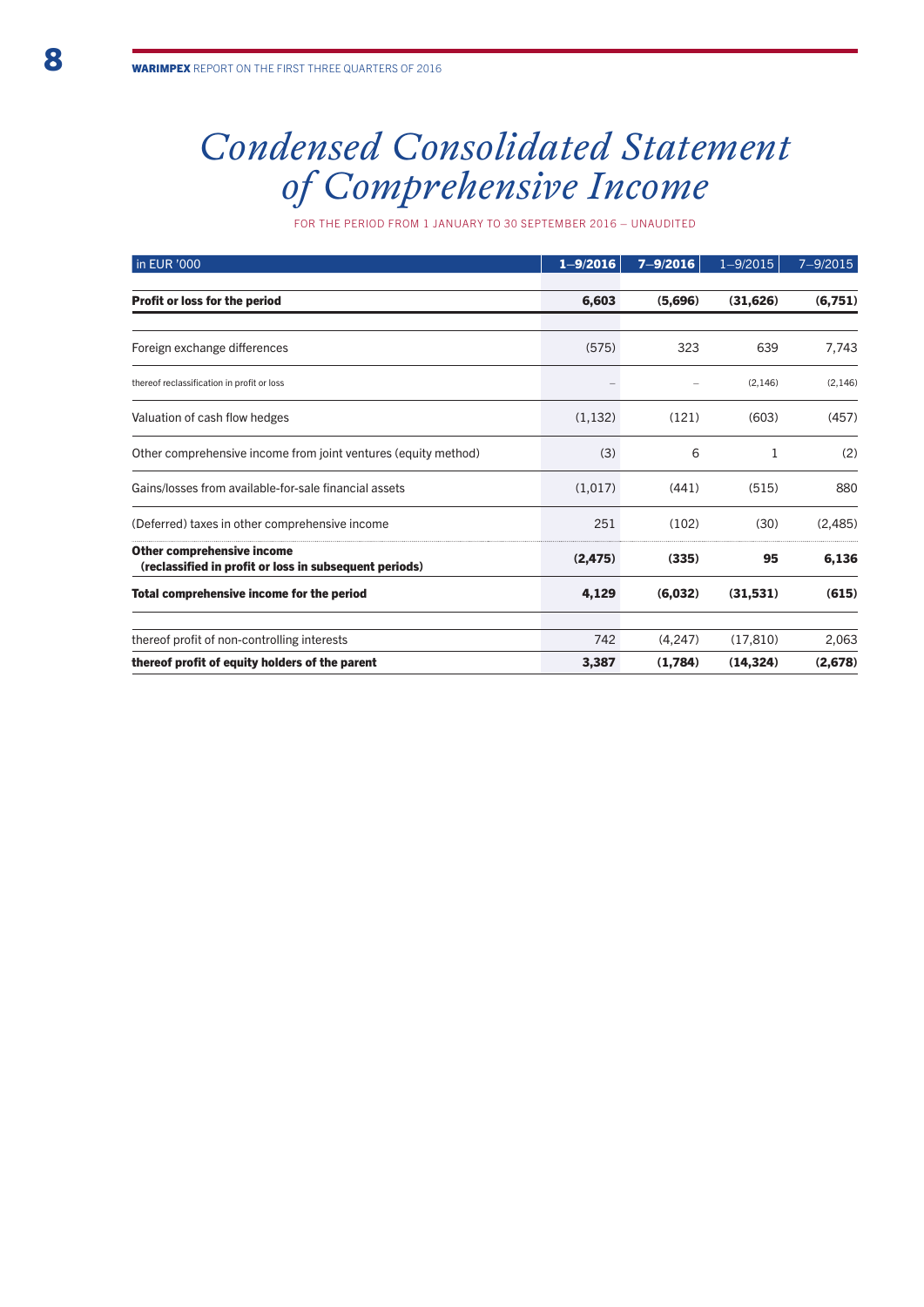# *Condensed Consolidated Statement of Comprehensive Income*

for the period from 1 January to 30 September 2016 – unaudited

| in EUR '000                                                                                 | $1 - 9/2016$ | $7 - 9/2016$ | $1 - 9/2015$ | $7 - 9/2015$ |
|---------------------------------------------------------------------------------------------|--------------|--------------|--------------|--------------|
| Profit or loss for the period                                                               | 6,603        | (5,696)      | (31, 626)    | (6,751)      |
|                                                                                             |              |              |              |              |
| Foreign exchange differences                                                                | (575)        | 323          | 639          | 7,743        |
| thereof reclassification in profit or loss                                                  |              |              | (2, 146)     | (2, 146)     |
| Valuation of cash flow hedges                                                               | (1, 132)     | (121)        | (603)        | (457)        |
| Other comprehensive income from joint ventures (equity method)                              | (3)          | 6            | 1            | (2)          |
| Gains/losses from available-for-sale financial assets                                       | (1,017)      | (441)        | (515)        | 880          |
| (Deferred) taxes in other comprehensive income                                              | 251          | (102)        | (30)         | (2,485)      |
| <b>Other comprehensive income</b><br>(reclassified in profit or loss in subsequent periods) | (2, 475)     | (335)        | 95           | 6,136        |
| Total comprehensive income for the period                                                   | 4,129        | (6,032)      | (31,531)     | (615)        |
| thereof profit of non-controlling interests                                                 | 742          | (4,247)      | (17, 810)    | 2,063        |
| thereof profit of equity holders of the parent                                              | 3,387        | (1,784)      | (14, 324)    | (2,678)      |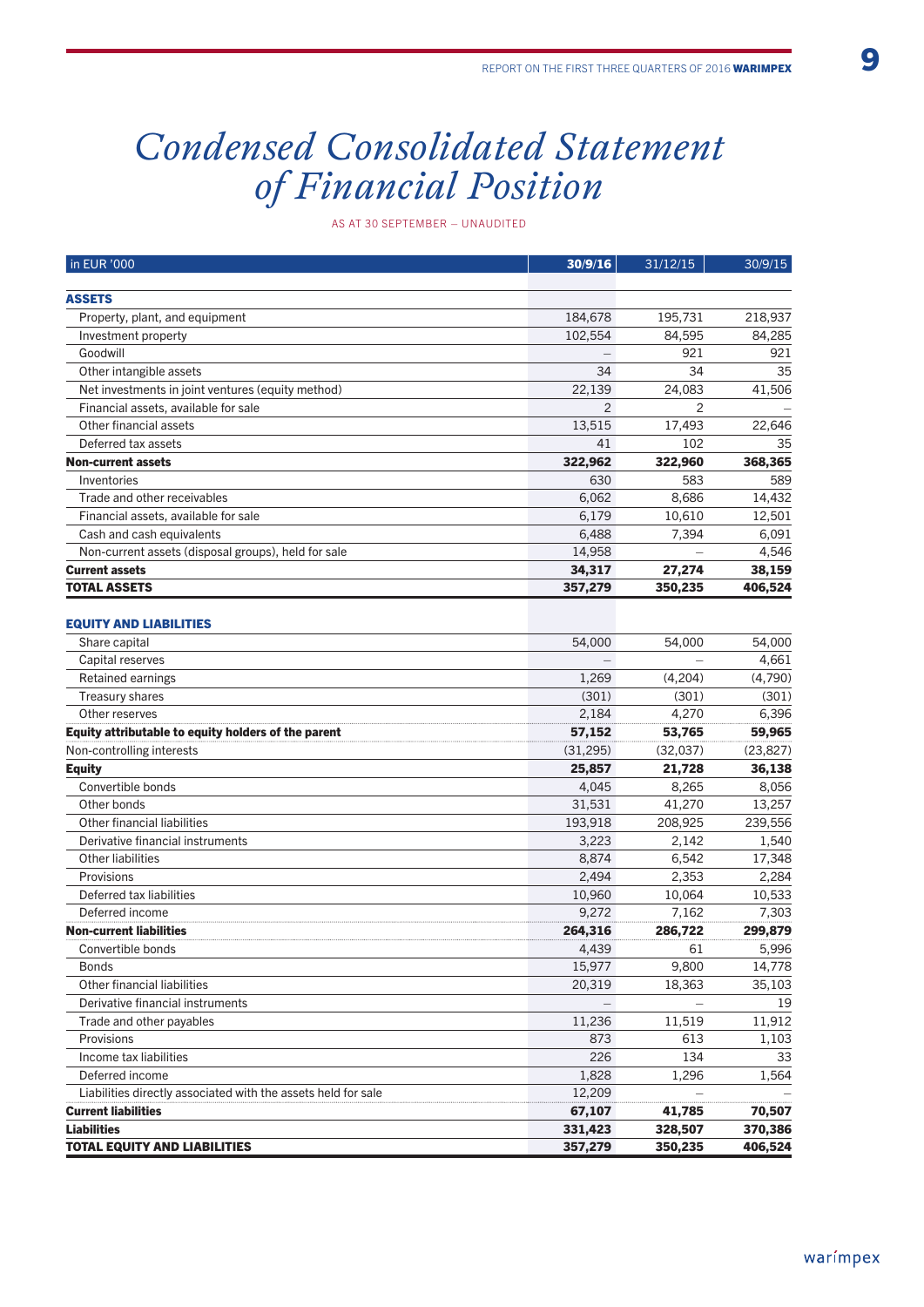## *Condensed Consolidated Statement of Financial Position*

as at 30 September – unaudited

| in EUR '000                                                   | 30/9/16        | 31/12/15 | 30/9/15   |
|---------------------------------------------------------------|----------------|----------|-----------|
|                                                               |                |          |           |
| <b>ASSETS</b>                                                 |                |          |           |
| Property, plant, and equipment                                | 184,678        | 195,731  | 218,937   |
| Investment property                                           | 102,554        | 84,595   | 84,285    |
| Goodwill                                                      |                | 921      | 921       |
| Other intangible assets                                       | 34             | 34       | 35        |
| Net investments in joint ventures (equity method)             | 22,139         | 24,083   | 41,506    |
| Financial assets, available for sale                          | $\overline{2}$ | 2        |           |
| Other financial assets                                        | 13,515         | 17,493   | 22,646    |
| Deferred tax assets                                           | 41             | 102      | 35        |
| <b>Non-current assets</b>                                     | 322,962        | 322,960  | 368,365   |
| Inventories                                                   | 630            | 583      | 589       |
| Trade and other receivables                                   | 6,062          | 8,686    | 14,432    |
| Financial assets, available for sale                          | 6,179          | 10,610   | 12,501    |
| Cash and cash equivalents                                     | 6,488          | 7,394    | 6,091     |
| Non-current assets (disposal groups), held for sale           | 14,958         |          | 4,546     |
| <b>Current assets</b>                                         | 34,317         | 27,274   | 38,159    |
| <b>TOTAL ASSETS</b>                                           | 357,279        | 350,235  | 406,524   |
| <b>EQUITY AND LIABILITIES</b>                                 |                |          |           |
| Share capital                                                 | 54,000         | 54,000   | 54,000    |
| Capital reserves                                              |                |          | 4,661     |
| Retained earnings                                             | 1,269          | (4,204)  | (4,790)   |
| <b>Treasury shares</b>                                        | (301)          | (301)    | (301)     |
| Other reserves                                                | 2,184          | 4,270    | 6,396     |
| Equity attributable to equity holders of the parent           | 57,152         | 53,765   | 59,965    |
| Non-controlling interests                                     | (31, 295)      | (32,037) | (23, 827) |
| <b>Equity</b>                                                 | 25,857         | 21,728   | 36,138    |
| Convertible bonds                                             | 4,045          | 8,265    | 8,056     |
| Other bonds                                                   | 31,531         | 41,270   | 13,257    |
| Other financial liabilities                                   | 193,918        | 208,925  | 239,556   |
| Derivative financial instruments                              | 3,223          | 2,142    | 1,540     |
| <b>Other liabilities</b>                                      | 8,874          | 6,542    | 17,348    |
| Provisions                                                    | 2,494          | 2,353    | 2,284     |
| Deferred tax liabilities                                      | 10,960         | 10,064   | 10,533    |
| Deferred income                                               | 9,272          | 7,162    | 7,303     |
| <b>Non-current liabilities</b>                                | 264,316        | 286,722  | 299,879   |
| Convertible bonds                                             | 4,439          | 61       | 5,996     |
| <b>Bonds</b>                                                  | 15,977         | 9,800    | 14,778    |
| Other financial liabilities                                   | 20,319         | 18,363   | 35,103    |
| Derivative financial instruments                              |                |          | 19        |
| Trade and other payables                                      | 11,236         | 11,519   | 11,912    |
| Provisions                                                    | 873            | 613      | 1,103     |
| Income tax liabilities                                        | 226            | 134      | 33        |
| Deferred income                                               | 1,828          | 1,296    | 1,564     |
| Liabilities directly associated with the assets held for sale | 12,209         |          |           |
| <b>Current liabilities</b>                                    | 67,107         | 41,785   | 70,507    |
| <b>Liabilities</b>                                            | 331,423        | 328,507  | 370,386   |
| <b>TOTAL EQUITY AND LIABILITIES</b>                           | 357,279        | 350,235  | 406,524   |
|                                                               |                |          |           |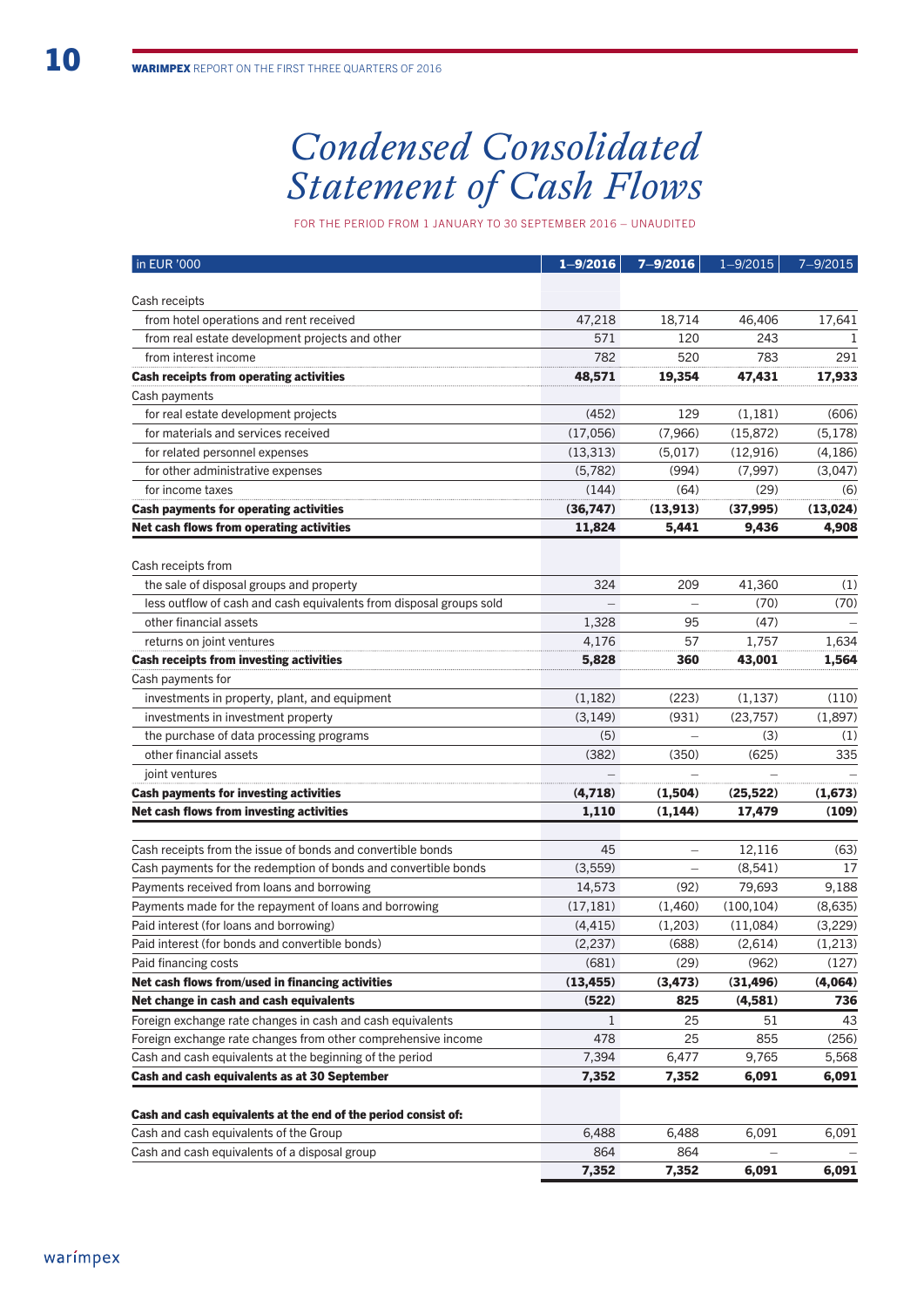# *Condensed Consolidated Statement of Cash Flows*

for the period from 1 January to 30 September 2016 – unaudited

| in EUR '000                                                                 | $1 - 9/2016$ | $7 - 9/2016$ | $1 - 9/2015$ | $7 - 9/2015$ |
|-----------------------------------------------------------------------------|--------------|--------------|--------------|--------------|
|                                                                             |              |              |              |              |
| Cash receipts                                                               |              |              |              |              |
| from hotel operations and rent received                                     | 47,218       | 18,714       | 46,406       | 17,641       |
| from real estate development projects and other                             | 571          | 120          | 243          | ı            |
| from interest income                                                        | 782          | 520          | 783          | 291          |
| <b>Cash receipts from operating activities</b>                              | 48,571       | 19,354       | 47,431       | 17,933       |
| Cash payments                                                               |              |              |              |              |
| for real estate development projects                                        | (452)        | 129          | (1, 181)     | (606)        |
| for materials and services received                                         | (17,056)     | (7,966)      | (15, 872)    | (5, 178)     |
| for related personnel expenses                                              | (13, 313)    | (5,017)      | (12, 916)    | (4, 186)     |
| for other administrative expenses                                           | (5,782)      | (994)        | (7,997)      | (3,047)      |
| for income taxes                                                            | (144)        | (64)         | (29)         | (6)          |
| <b>Cash payments for operating activities</b>                               | (36,747)     | (13, 913)    | (37, 995)    | (13,024)     |
| Net cash flows from operating activities                                    | 11,824       | 5,441        | 9,436        | 4,908        |
| Cash receipts from                                                          |              |              |              |              |
| the sale of disposal groups and property                                    | 324          | 209          | 41,360       | (1)          |
| less outflow of cash and cash equivalents from disposal groups sold         |              |              | (70)         | (70)         |
| other financial assets                                                      | 1,328        | 95           | (47)         |              |
|                                                                             | 4,176        | 57           | 1,757        | 1,634        |
| returns on joint ventures<br><b>Cash receipts from investing activities</b> | 5,828        | 360          | 43,001       |              |
|                                                                             |              |              |              | 1,564        |
| Cash payments for                                                           |              |              |              |              |
| investments in property, plant, and equipment                               | (1, 182)     | (223)        | (1, 137)     | (110)        |
| investments in investment property                                          | (3, 149)     | (931)        | (23,757)     | (1,897)      |
| the purchase of data processing programs                                    | (5)          |              | (3)          | (1)          |
| other financial assets                                                      | (382)        | (350)        | (625)        | 335          |
| joint ventures                                                              |              |              |              |              |
| <b>Cash payments for investing activities</b>                               | (4,718)      | (1,504)      | (25, 522)    | (1,673)      |
| Net cash flows from investing activities                                    | 1,110        | (1, 144)     | 17,479       | (109)        |
| Cash receipts from the issue of bonds and convertible bonds                 | 45           |              | 12,116       | (63)         |
| Cash payments for the redemption of bonds and convertible bonds             | (3,559)      |              | (8, 541)     | 17           |
| Payments received from loans and borrowing                                  | 14,573       | (92)         | 79,693       | 9,188        |
| Payments made for the repayment of loans and borrowing                      | (17, 181)    | (1,460)      | (100, 104)   | (8,635)      |
| Paid interest (for loans and borrowing)                                     | (4, 415)     | (1,203)      | (11,084)     | (3,229)      |
| Paid interest (for bonds and convertible bonds)                             | (2, 237)     | (688)        | (2,614)      | (1,213)      |
| Paid financing costs                                                        | (681)        | (29)         | (962)        | (127)        |
| Net cash flows from/used in financing activities                            | (13, 455)    | (3, 473)     | (31, 496)    | (4,064)      |
| Net change in cash and cash equivalents                                     | (522)        | 825          | (4,581)      | 736          |
| Foreign exchange rate changes in cash and cash equivalents                  | $\mathbf{1}$ | 25           | 51           | 43           |
| Foreign exchange rate changes from other comprehensive income               | 478          | 25           | 855          | (256)        |
| Cash and cash equivalents at the beginning of the period                    | 7,394        | 6,477        | 9,765        | 5,568        |
| Cash and cash equivalents as at 30 September                                | 7,352        | 7,352        | 6,091        | 6,091        |
|                                                                             |              |              |              |              |
| Cash and cash equivalents at the end of the period consist of:              |              |              |              |              |
| Cash and cash equivalents of the Group                                      | 6,488        | 6,488        | 6,091        | 6,091        |
| Cash and cash equivalents of a disposal group                               | 864          | 864          |              |              |

7,352 7,352 6,091 6,091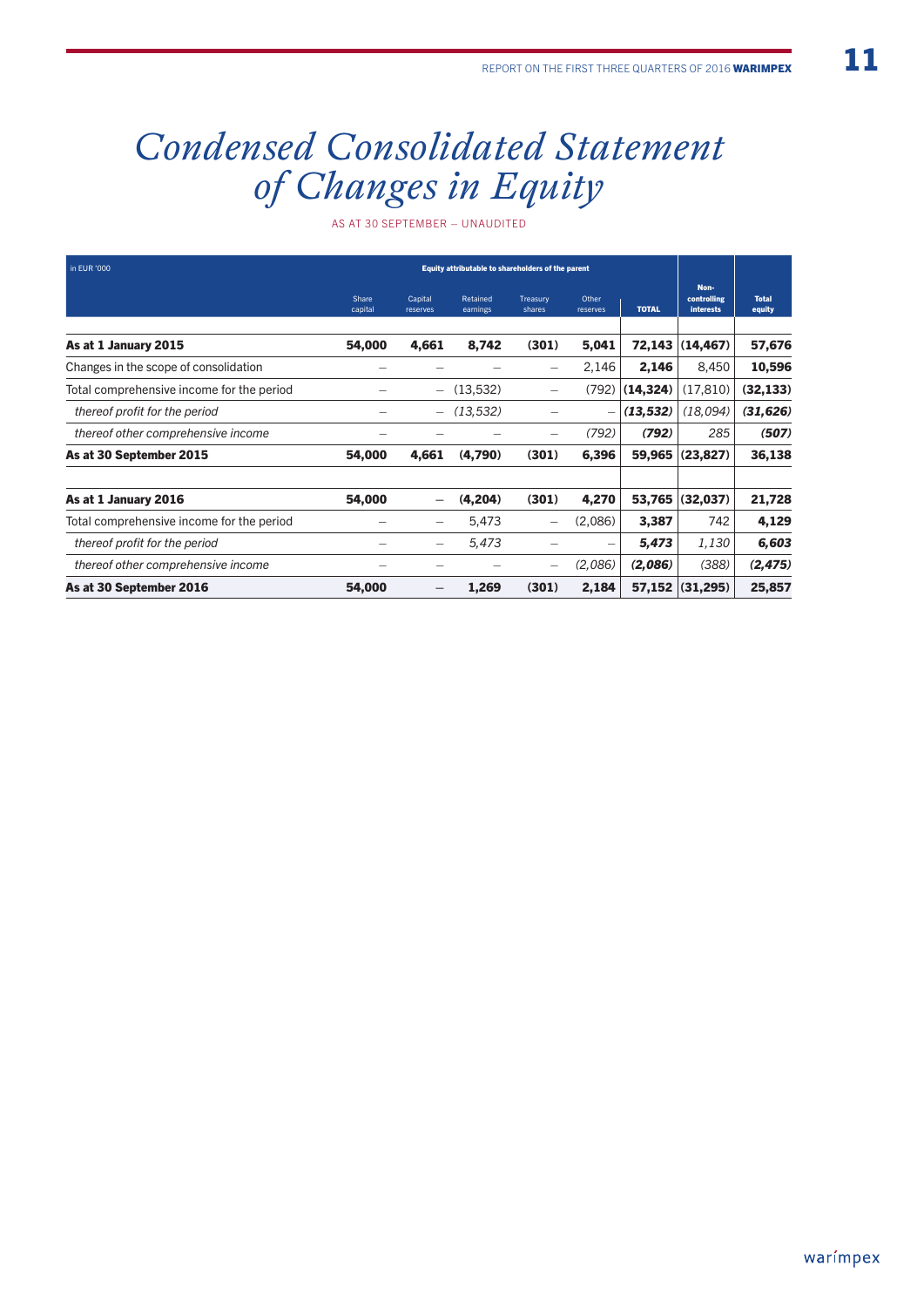# *Condensed Consolidated Statement of Changes in Equity*

as at 30 September – unaudited

| in EUR '000                               | Equity attributable to shareholders of the parent |                          |                      |                          |                   |              |                                         |                        |
|-------------------------------------------|---------------------------------------------------|--------------------------|----------------------|--------------------------|-------------------|--------------|-----------------------------------------|------------------------|
|                                           | Share<br>capital                                  | Capital<br>reserves      | Retained<br>earnings | Treasury<br>shares       | Other<br>reserves | <b>TOTAL</b> | Non-<br>controlling<br><b>interests</b> | <b>Total</b><br>equity |
| As at 1 January 2015                      | 54,000                                            | 4,661                    | 8,742                | (301)                    | 5,041             | 72,143       | (14, 467)                               | 57,676                 |
| Changes in the scope of consolidation     |                                                   |                          |                      | -                        | 2,146             | 2,146        | 8,450                                   | 10,596                 |
| Total comprehensive income for the period |                                                   | $\overline{\phantom{0}}$ | (13,532)             | $\overline{\phantom{0}}$ | (792)             | (14, 324)    | (17, 810)                               | (32, 133)              |
| thereof profit for the period             |                                                   | $\overline{\phantom{0}}$ | (13, 532)            |                          |                   | (13, 532)    | (18,094)                                | (31, 626)              |
| thereof other comprehensive income        |                                                   |                          |                      |                          | (792)             | (792)        | 285                                     | (507)                  |
| As at 30 September 2015                   | 54,000                                            | 4,661                    | (4,790)              | (301)                    | 6,396             | 59,965       | (23, 827)                               | 36,138                 |
| As at 1 January 2016                      | 54,000                                            | $\overline{\phantom{0}}$ | (4,204)              | (301)                    | 4,270             | 53,765       | (32,037)                                | 21,728                 |
| Total comprehensive income for the period |                                                   | —                        | 5,473                | -                        | (2,086)           | 3,387        | 742                                     | 4,129                  |
| thereof profit for the period             |                                                   |                          | 5,473                |                          | $\equiv$          | 5,473        | 1,130                                   | 6,603                  |
| thereof other comprehensive income        |                                                   |                          |                      | $\overline{\phantom{0}}$ | (2,086)           | (2,086)      | (388)                                   | (2, 475)               |
| As at 30 September 2016                   | 54,000                                            | -                        | 1,269                | (301)                    | 2,184             | 57,152       | (31, 295)                               | 25,857                 |